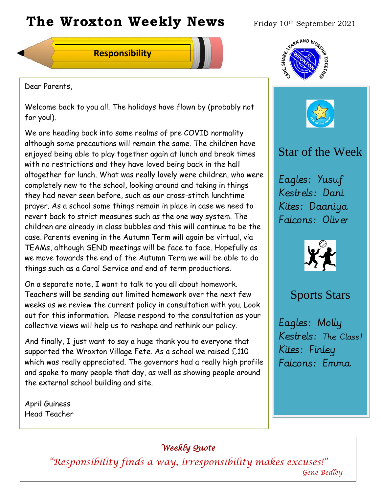# The Wroxton Weekly News Friday 10th September 2021

**Responsibility**



Dear Parents,

Welcome back to you all. The holidays have flown by (probably not for you!).

We are heading back into some realms of pre COVID normality although some precautions will remain the same. The children have enjoyed being able to play together again at lunch and break times with no restrictions and they have loved being back in the hall altogether for lunch. What was really lovely were children, who were completely new to the school, looking around and taking in things they had never seen before, such as our cross-stitch lunchtime prayer. As a school some things remain in place in case we need to revert back to strict measures such as the one way system. The children are already in class bubbles and this will continue to be the case. Parents evening in the Autumn Term will again be virtual, via TEAMs, although SEND meetings will be face to face. Hopefully as we move towards the end of the Autumn Term we will be able to do things such as a Carol Service and end of term productions.

On a separate note, I want to talk to you all about homework. Teachers will be sending out limited homework over the next few weeks as we review the current policy in consultation with you. Look out for this information. Please respond to the consultation as your collective views will help us to reshape and rethink our policy.

And finally, I just want to say a huge thank you to everyone that supported the Wroxton Village Fete. As a school we raised £110 which was really appreciated. The governors had a really high profile and spoke to many people that day, as well as showing people around the external school building and site.

April Guiness Head Teacher

## *Weekly Quote*

**Oct 30 Nov 4 Dec 1 Jan 1** *"Responsibility finds a way, irresponsibility makes excuses!"* **New Year** *Gene Bedley*





# Star of the Week

Eagles: Yusuf Kestrels: Dani Kites: Daaniya Falcons: Oliver



# Sports Stars

Eagles: Molly Kestrels: The Class! Kites: Finley Falcons: Emma